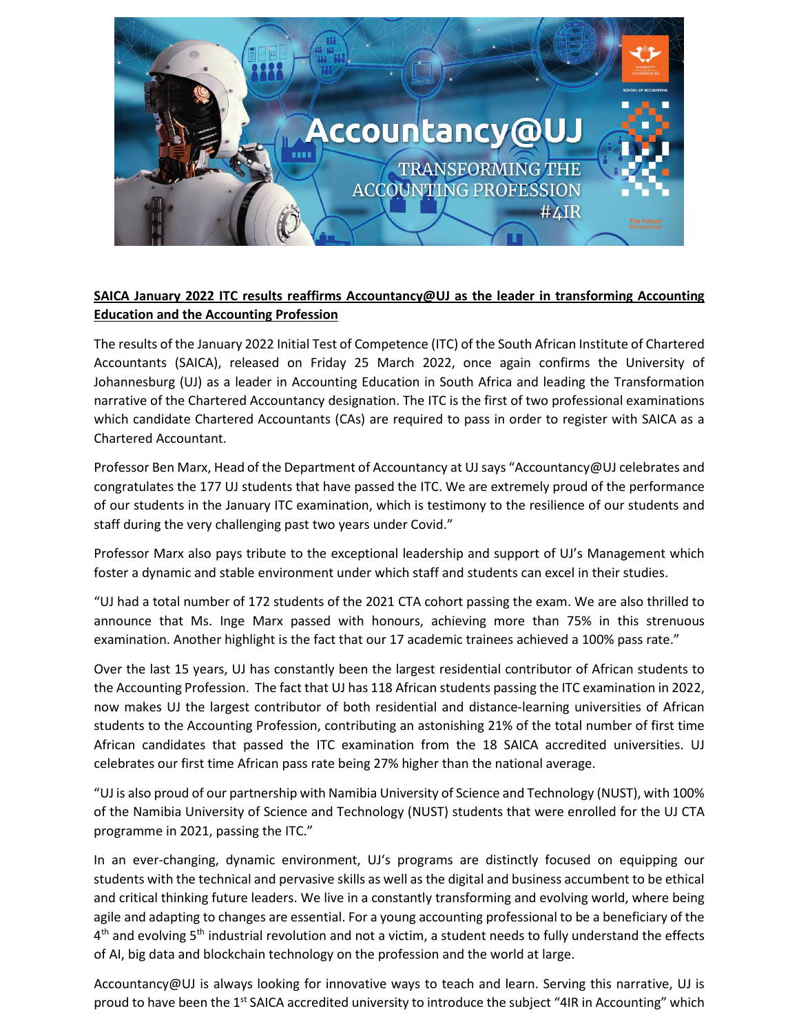

## **SAICA January 2022 ITC results reaffirms Accountancy@UJ as the leader in transforming Accounting Education and the Accounting Profession**

The results of the January 2022 Initial Test of Competence (ITC) of the South African Institute of Chartered Accountants (SAICA), released on Friday 25 March 2022, once again confirms the University of Johannesburg (UJ) as a leader in Accounting Education in South Africa and leading the Transformation narrative of the Chartered Accountancy designation. The ITC is the first of two professional examinations which candidate Chartered Accountants (CAs) are required to pass in order to register with SAICA as a Chartered Accountant.

Professor Ben Marx, Head of the Department of Accountancy at UJ says "Accountancy@UJ celebrates and congratulates the 177 UJ students that have passed the ITC. We are extremely proud of the performance of our students in the January ITC examination, which is testimony to the resilience of our students and staff during the very challenging past two years under Covid."

Professor Marx also pays tribute to the exceptional leadership and support of UJ's Management which foster a dynamic and stable environment under which staff and students can excel in their studies.

"UJ had a total number of 172 students of the 2021 CTA cohort passing the exam. We are also thrilled to announce that Ms. Inge Marx passed with honours, achieving more than 75% in this strenuous examination. Another highlight is the fact that our 17 academic trainees achieved a 100% pass rate."

Over the last 15 years, UJ has constantly been the largest residential contributor of African students to the Accounting Profession. The fact that UJ has 118 African students passing the ITC examination in 2022, now makes UJ the largest contributor of both residential and distance-learning universities of African students to the Accounting Profession, contributing an astonishing 21% of the total number of first time African candidates that passed the ITC examination from the 18 SAICA accredited universities. UJ celebrates our first time African pass rate being 27% higher than the national average.

"UJ is also proud of our partnership with Namibia University of Science and Technology (NUST), with 100% of the Namibia University of Science and Technology (NUST) students that were enrolled for the UJ CTA programme in 2021, passing the ITC."

In an ever-changing, dynamic environment, UJ's programs are distinctly focused on equipping our students with the technical and pervasive skills as well as the digital and business accumbent to be ethical and critical thinking future leaders. We live in a constantly transforming and evolving world, where being agile and adapting to changes are essential. For a young accounting professional to be a beneficiary of the  $4<sup>th</sup>$  and evolving 5<sup>th</sup> industrial revolution and not a victim, a student needs to fully understand the effects of AI, big data and blockchain technology on the profession and the world at large.

Accountancy@UJ is always looking for innovative ways to teach and learn. Serving this narrative, UJ is proud to have been the 1<sup>st</sup> SAICA accredited university to introduce the subject "4IR in Accounting" which